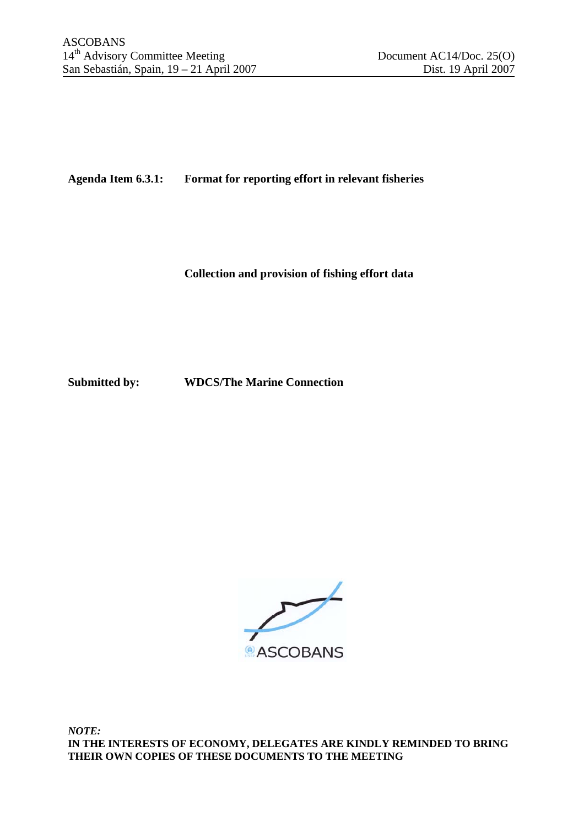## **Agenda Item 6.3.1: Format for reporting effort in relevant fisheries**

**Collection and provision of fishing effort data** 

**Submitted by: WDCS/The Marine Connection** 



*NOTE:*  **IN THE INTERESTS OF ECONOMY, DELEGATES ARE KINDLY REMINDED TO BRING THEIR OWN COPIES OF THESE DOCUMENTS TO THE MEETING**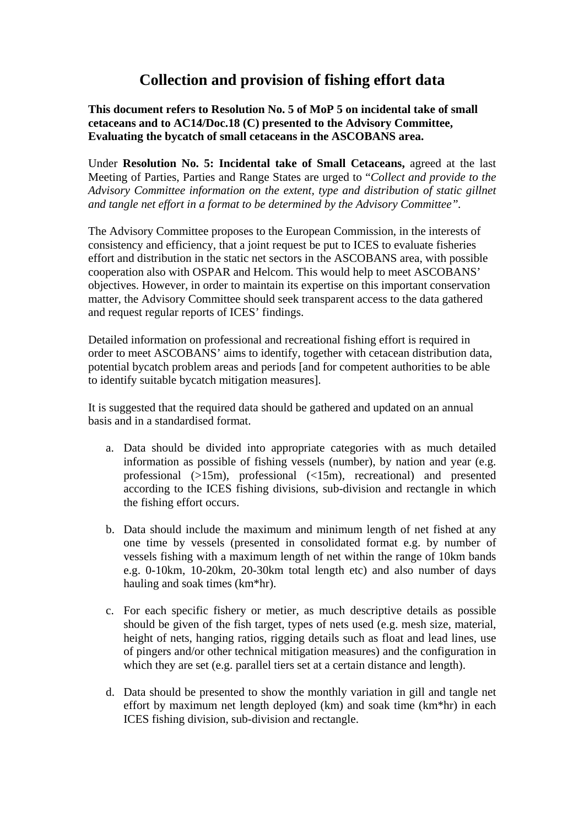## **Collection and provision of fishing effort data**

## **This document refers to Resolution No. 5 of MoP 5 on incidental take of small cetaceans and to AC14/Doc.18 (C) presented to the Advisory Committee, Evaluating the bycatch of small cetaceans in the ASCOBANS area.**

Under **Resolution No. 5: Incidental take of Small Cetaceans,** agreed at the last Meeting of Parties, Parties and Range States are urged to "*Collect and provide to the Advisory Committee information on the extent, type and distribution of static gillnet and tangle net effort in a format to be determined by the Advisory Committee".* 

The Advisory Committee proposes to the European Commission, in the interests of consistency and efficiency, that a joint request be put to ICES to evaluate fisheries effort and distribution in the static net sectors in the ASCOBANS area, with possible cooperation also with OSPAR and Helcom. This would help to meet ASCOBANS' objectives. However, in order to maintain its expertise on this important conservation matter, the Advisory Committee should seek transparent access to the data gathered and request regular reports of ICES' findings.

Detailed information on professional and recreational fishing effort is required in order to meet ASCOBANS' aims to identify, together with cetacean distribution data, potential bycatch problem areas and periods [and for competent authorities to be able to identify suitable bycatch mitigation measures].

It is suggested that the required data should be gathered and updated on an annual basis and in a standardised format.

- a. Data should be divided into appropriate categories with as much detailed information as possible of fishing vessels (number), by nation and year (e.g. professional (>15m), professional (<15m), recreational) and presented according to the ICES fishing divisions, sub-division and rectangle in which the fishing effort occurs.
- b. Data should include the maximum and minimum length of net fished at any one time by vessels (presented in consolidated format e.g. by number of vessels fishing with a maximum length of net within the range of 10km bands e.g. 0-10km, 10-20km, 20-30km total length etc) and also number of days hauling and soak times (km\*hr).
- c. For each specific fishery or metier, as much descriptive details as possible should be given of the fish target, types of nets used (e.g. mesh size, material, height of nets, hanging ratios, rigging details such as float and lead lines, use of pingers and/or other technical mitigation measures) and the configuration in which they are set (e.g. parallel tiers set at a certain distance and length).
- d. Data should be presented to show the monthly variation in gill and tangle net effort by maximum net length deployed (km) and soak time (km\*hr) in each ICES fishing division, sub-division and rectangle.